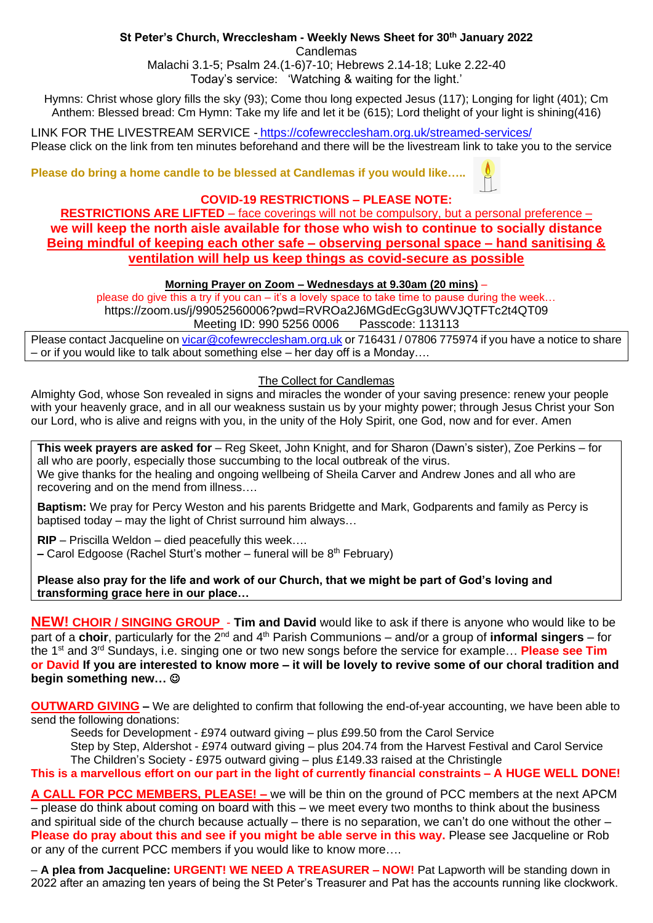## **St Peter's Church, Wrecclesham - Weekly News Sheet for 30th January 2022**

Candlemas

Malachi 3.1-5; Psalm 24.(1-6)7-10; Hebrews 2.14-18; Luke 2.22-40 Today's service: 'Watching & waiting for the light.'

Hymns: Christ whose glory fills the sky (93); Come thou long expected Jesus (117); Longing for light (401); Cm Anthem: Blessed bread: Cm Hymn: Take my life and let it be (615); Lord thelight of your light is shining(416)

LINK FOR THE LIVESTREAM SERVICE - <https://cofewrecclesham.org.uk/streamed-services/> Please click on the link from ten minutes beforehand and there will be the livestream link to take you to the service

**Please do bring a home candle to be blessed at Candlemas if you would like…..**

## **COVID-19 RESTRICTIONS – PLEASE NOTE:**

**RESTRICTIONS ARE LIFTED** – face coverings will not be compulsory, but a personal preference – **we will keep the north aisle available for those who wish to continue to socially distance Being mindful of keeping each other safe – observing personal space – hand sanitising & ventilation will help us keep things as covid-secure as possible**

## **Morning Prayer on Zoom – Wednesdays at 9.30am (20 mins)** –

please do give this a try if you can – it's a lovely space to take time to pause during the week… https://zoom.us/j/99052560006?pwd=RVROa2J6MGdEcGg3UWVJQTFTc2t4QT09

Meeting ID: 990 5256 0006 Passcode: 113113

Please contact Jacqueline on [vicar@cofewrecclesham.org.uk](mailto:vicar@cofewrecclesham.org.uk) or 716431 / 07806 775974 if you have a notice to share – or if you would like to talk about something else – her day off is a Monday….

### The Collect for Candlemas

Almighty God, whose Son revealed in signs and miracles the wonder of your saving presence: renew your people with your heavenly grace, and in all our weakness sustain us by your mighty power; through Jesus Christ your Son our Lord, who is alive and reigns with you, in the unity of the Holy Spirit, one God, now and for ever. Amen

**This week prayers are asked for** – Reg Skeet, John Knight, and for Sharon (Dawn's sister), Zoe Perkins – for all who are poorly, especially those succumbing to the local outbreak of the virus. We give thanks for the healing and ongoing wellbeing of Sheila Carver and Andrew Jones and all who are recovering and on the mend from illness….

**Baptism:** We pray for Percy Weston and his parents Bridgette and Mark, Godparents and family as Percy is baptised today – may the light of Christ surround him always…

**RIP** – Priscilla Weldon – died peacefully this week…. **–** Carol Edgoose (Rachel Sturt's mother – funeral will be 8th February)

**Please also pray for the life and work of our Church, that we might be part of God's loving and transforming grace here in our place…**

**NEW! CHOIR / SINGING GROUP** - **Tim and David** would like to ask if there is anyone who would like to be part of a **choir**, particularly for the 2<sup>nd</sup> and 4<sup>th</sup> Parish Communions – and/or a group of **informal singers** – for the 1st and 3rd Sundays, i.e. singing one or two new songs before the service for example… **Please see Tim or David If you are interested to know more – it will be lovely to revive some of our choral tradition and begin something new…** ☺

**OUTWARD GIVING –** We are delighted to confirm that following the end-of-year accounting, we have been able to send the following donations:

Seeds for Development - £974 outward giving – plus £99.50 from the Carol Service

Step by Step, Aldershot - £974 outward giving – plus 204.74 from the Harvest Festival and Carol Service

The Children's Society - £975 outward giving – plus £149.33 raised at the Christingle **This is a marvellous effort on our part in the light of currently financial constraints – A HUGE WELL DONE!**

**A CALL FOR PCC MEMBERS, PLEASE! –** we will be thin on the ground of PCC members at the next APCM – please do think about coming on board with this – we meet every two months to think about the business and spiritual side of the church because actually – there is no separation, we can't do one without the other – **Please do pray about this and see if you might be able serve in this way.** Please see Jacqueline or Rob or any of the current PCC members if you would like to know more….

– **A plea from Jacqueline: URGENT! WE NEED A TREASURER – NOW!** Pat Lapworth will be standing down in 2022 after an amazing ten years of being the St Peter's Treasurer and Pat has the accounts running like clockwork.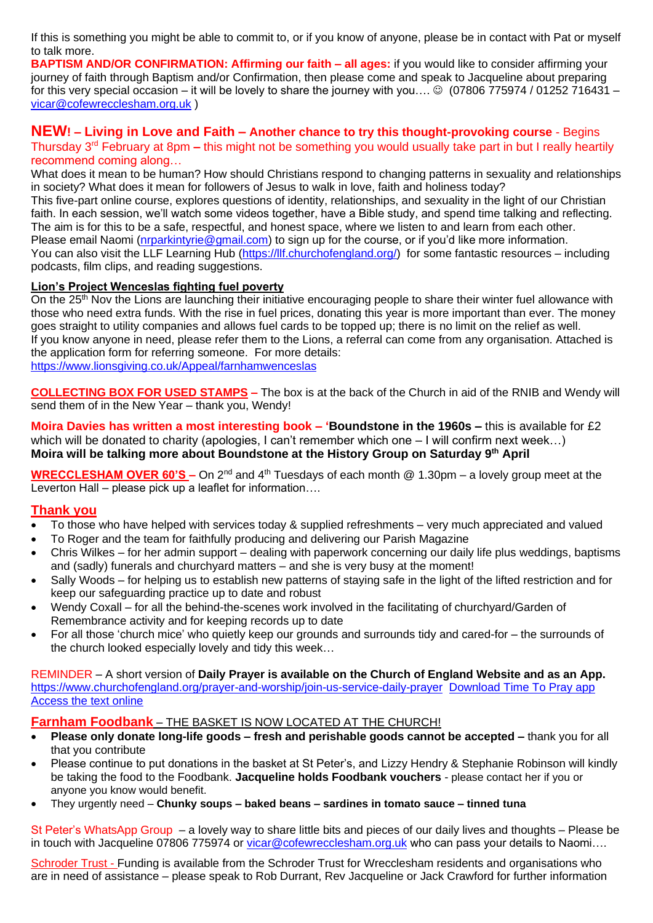If this is something you might be able to commit to, or if you know of anyone, please be in contact with Pat or myself to talk more.

**BAPTISM AND/OR CONFIRMATION: Affirming our faith – all ages:** if you would like to consider affirming your journey of faith through Baptism and/or Confirmation, then please come and speak to Jacqueline about preparing for this very special occasion – it will be lovely to share the journey with you….  $\odot$  (07806 775974 / 01252 716431 – [vicar@cofewrecclesham.org.uk](mailto:vicar@cofewrecclesham.org.uk) )

## **NEW! – Living in Love and Faith – Another chance to try this thought-provoking course** - Begins Thursday 3rd February at 8pm **–** this might not be something you would usually take part in but I really heartily recommend coming along…

What does it mean to be human? How should Christians respond to changing patterns in sexuality and relationships in society? What does it mean for followers of Jesus to walk in love, faith and holiness today? This five-part online course, explores questions of identity, relationships, and sexuality in the light of our Christian faith. In each session, we'll watch some videos together, have a Bible study, and spend time talking and reflecting. The aim is for this to be a safe, respectful, and honest space, where we listen to and learn from each other. Please email Naomi [\(nrparkintyrie@gmail.com\)](mailto:nrparkintyrie@gmail.com) to sign up for the course, or if you'd like more information. You can also visit the LLF Learning Hub [\(https://llf.churchofengland.org/\)](https://llf.churchofengland.org/) for some fantastic resources – including podcasts, film clips, and reading suggestions.

### **Lion's Project Wenceslas fighting fuel poverty**

On the 25<sup>th</sup> Nov the Lions are launching their initiative encouraging people to share their winter fuel allowance with those who need extra funds. With the rise in fuel prices, donating this year is more important than ever. The money goes straight to utility companies and allows fuel cards to be topped up; there is no limit on the relief as well. If you know anyone in need, please refer them to the Lions, a referral can come from any organisation. Attached is the application form for referring someone. For more details: [https://www.lionsgiving.co.uk/Appeal/farnhamwenceslas](https://emea01.safelinks.protection.outlook.com/?url=https%3A%2F%2Fwww.lionsgiving.co.uk%2FAppeal%2Ffarnhamwenceslas&data=04%7C01%7C%7C670ac8773ce941dc31c808d9ae5c7915%7C84df9e7fe9f640afb435aaaaaaaaaaaa%7C1%7C0%7C637732534462155920%7CUnknown%7CTWFpbGZsb3d8eyJWIjoiMC4wLjAwMDAiLCJQIjoiV2luMzIiLCJBTiI6Ik1haWwiLCJXVCI6Mn0%3D%7C3000&sdata=jYT55VrvJZ%2FRUdhMQwgg2DCNmThy7EdE8MyPg1JZd9o%3D&reserved=0)

**COLLECTING BOX FOR USED STAMPS –** The box is at the back of the Church in aid of the RNIB and Wendy will send them of in the New Year – thank you, Wendy!

**Moira Davies has written a most interesting book – 'Boundstone in the 1960s –** this is available for £2 which will be donated to charity (apologies, I can't remember which one – I will confirm next week…) **Moira will be talking more about Boundstone at the History Group on Saturday 9th April**

**WRECCLESHAM OVER 60'S –** On 2<sup>nd</sup> and 4<sup>th</sup> Tuesdays of each month @ 1.30pm – a lovely group meet at the Leverton Hall – please pick up a leaflet for information….

# **Thank you**

- To those who have helped with services today & supplied refreshments very much appreciated and valued
- To Roger and the team for faithfully producing and delivering our Parish Magazine
- Chris Wilkes for her admin support dealing with paperwork concerning our daily life plus weddings, baptisms and (sadly) funerals and churchyard matters – and she is very busy at the moment!
- Sally Woods for helping us to establish new patterns of staying safe in the light of the lifted restriction and for keep our safeguarding practice up to date and robust
- Wendy Coxall for all the behind-the-scenes work involved in the facilitating of churchyard/Garden of Remembrance activity and for keeping records up to date
- For all those 'church mice' who quietly keep our grounds and surrounds tidy and cared-for the surrounds of the church looked especially lovely and tidy this week…

REMINDER – A short version of **Daily Prayer is available on the Church of England Website and as an App.** <https://www.churchofengland.org/prayer-and-worship/join-us-service-daily-prayer> [Download Time To Pray app](https://www.chpublishing.co.uk/apps/time-to-pray)  [Access the text online](https://www.churchofengland.org/prayer-and-worship/join-us-in-daily-prayer/prayer-during-day-contemporary-Saturday-30-January-2021)

## **Farnham Foodbank** – THE BASKET IS NOW LOCATED AT THE CHURCH!

- **Please only donate long-life goods – fresh and perishable goods cannot be accepted –** thank you for all that you contribute
- Please continue to put donations in the basket at St Peter's, and Lizzy Hendry & Stephanie Robinson will kindly be taking the food to the Foodbank. **Jacqueline holds Foodbank vouchers** - please contact her if you or anyone you know would benefit.
- They urgently need **Chunky soups – baked beans – sardines in tomato sauce – tinned tuna**

St Peter's WhatsApp Group – a lovely way to share little bits and pieces of our daily lives and thoughts – Please be in touch with Jacqueline 07806 775974 or [vicar@cofewrecclesham.org.uk](mailto:vicar@cofewrecclesham.org.uk) who can pass your details to Naomi....

Schroder Trust - Funding is available from the Schroder Trust for Wrecclesham residents and organisations who are in need of assistance – please speak to Rob Durrant, Rev Jacqueline or Jack Crawford for further information